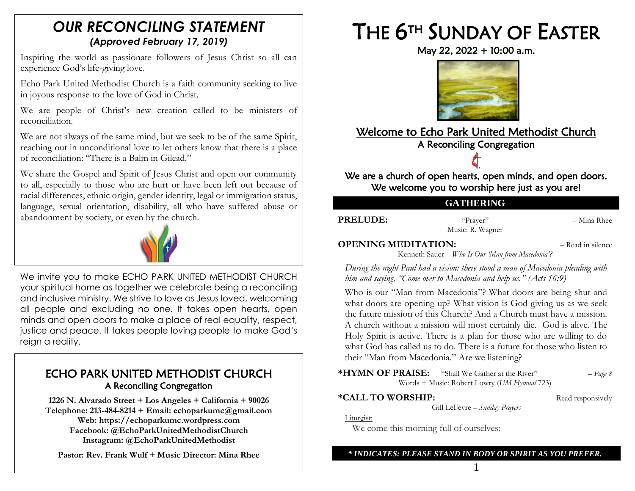# *OUR RECONCILING STATEMENT (Approved February 17, 2019)*

Inspiring the world as passionate followers of Jesus Christ so all can experience God's life-giving love.

Echo Park United Methodist Church is a faith community seeking to live in joyous response to the love of God in Christ.

We are people of Christ's new creation called to be ministers of reconciliation.

We are not always of the same mind, but we seek to be of the same Spirit, reaching out in unconditional love to let others know that there is a place of reconciliation: "There is a Balm in Gilead."

We share the Gospel and Spirit of Jesus Christ and open our community to all, especially to those who are hurt or have been left out because of racial differences, ethnic origin, gender identity, legal or immigration status, language, sexual orientation, disability, all who have suffered abuse or abandonment by society, or even by the church.



We invite you to make ECHO PARK UNITED METHODIST CHURCH your spiritual home as together we celebrate being a reconciling and inclusive ministry. We strive to love as Jesus loved, welcoming all people and excluding no one. It takes open hearts, open minds and open doors to make a place of real equality, respect, justice and peace. It takes people loving people to make God's reign a reality.

# ECHO PARK UNITED METHODIST CHURCH A Reconciling Congregation

**1226 N. Alvarado Street + Los Angeles + California + 90026 Telephone: 213-484-8214 + Email: echoparkumc@gmail.com Web: https://echoparkumc.wordpress.com Facebook: @EchoParkUnitedMethodistChurch Instagram: @EchoParkUnitedMethodist**

**Pastor: Rev. Frank Wulf + Music Director: Mina Rhee**

# THE 6<sup>TH</sup> SUNDAY OF EASTER

May 22, 2022 + 10:00 a.m.



# Welcome to Echo Park United Methodist Church A Reconciling Congregation

We are a church of open hearts, open minds, and open doors. We welcome you to worship here just as you are!

### **GATHERING**

**PRELUDE:** "Prayer" – Mina Rhee Music: R. Wagner

**OPENING MEDITATION:**  $-$  Read in silence Kenneth Sauer – *Who Is Our 'Man from Macedonia'?*

*During the night Paul had a vision: there stood a man of Macedonia pleading with him and saying, "Come over to Macedonia and help us." (Acts 16:9)*

Who is our "Man from Macedonia"? What doors are being shut and what doors are opening up? What vision is God giving us as we seek the future mission of this Church? And a Church must have a mission. A church without a mission will most certainly die. God is alive. The Holy Spirit is active. There is a plan for those who are willing to do what God has called us to do. There is a future for those who listen to their "Man from Macedonia." Are we listening?

| *HYMN OF PRAISE:                            | "Shall We Gather at the River" | $-Page 8$ |
|---------------------------------------------|--------------------------------|-----------|
| Words + Music: Robert Lowry (UM Hymnal 723) |                                |           |

**\*CALL TO WORSHIP:** – Read responsively Gill LeFevre – *Sunday Prayers*

Liturgist:

We come this morning full of ourselves:

#### *\* INDICATES: PLEASE STAND IN BODY OR SPIRIT AS YOU PREFER.* 1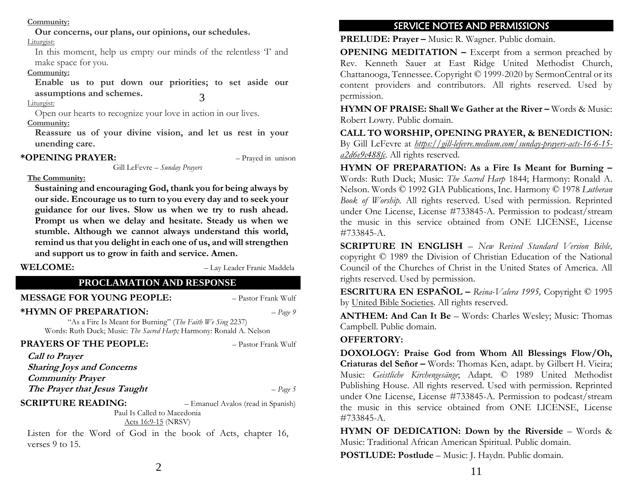#### **Community:**

**Our concerns, our plans, our opinions, our schedules.**

Liturgist:

In this moment, help us empty our minds of the relentless 'I' and make space for you.

#### **Community:**

**Enable us to put down our priorities; to set aside our assumptions and schemes.** 3

#### Liturgist:

Open our hearts to recognize your love in action in our lives.

**Community:**

**Reassure us of your divine vision, and let us rest in your unending care.**

Gill LeFevre – *Sunday Prayers*

#### **\*OPENING PRAYER:** – Prayed in unison

#### **The Community:**

**Sustaining and encouraging God, thank you for being always by our side. Encourage us to turn to you every day and to seek your guidance for our lives. Slow us when we try to rush ahead. Prompt us when we delay and hesitate. Steady us when we stumble. Although we cannot always understand this world, remind us that you delight in each one of us, and will strengthen and support us to grow in faith and service. Amen.**

**WELCOME:** – Lay Leader Franie Maddela

#### **PROCLAMATION AND RESPONSE**

**MESSAGE FOR YOUNG PEOPLE:**  $-$  Pastor Frank Wulf

#### **\*HYMN OF PREPARATION:** – *Page 9*

"As a Fire Is Meant for Burning" (*The Faith We Sing* 2237) Words: Ruth Duck; Music: *The Sacred Harp;* Harmony: Ronald A. Nelson

#### **PRAYERS OF THE PEOPLE:**  $-P$ *astor Frank Wulf*

**Call to Prayer Sharing Joys and Concerns Community Prayer The Prayer that Jesus Taught** – *Page 5*

#### **SCRIPTURE READING:** – Emanuel Avalos (read in Spanish)

Paul Is Called to Macedonia [Acts 16:9-15](https://www.biblegateway.com/passage/?search=Acts+16%3A9-15&version=NRSVUE) (NRSV)

Listen for the Word of God in the book of Acts, chapter 16, verses 9 to 15.

### SERVICE NOTES AND PERMISSIONS

**PRELUDE: Prayer –** Music: R. Wagner. Public domain.

**OPENING MEDITATION –** Excerpt from a sermon preached by Rev. Kenneth Sauer at East Ridge United Methodist Church, Chattanooga, Tennessee. Copyright © 1999-2020 by SermonCentral or its content providers and contributors. All rights reserved. Used by permission.

**HYMN OF PRAISE: Shall We Gather at the River –** Words & Music: Robert Lowry. Public domain.

**CALL TO WORSHIP, OPENING PRAYER, & BENEDICTION:**  By Gill LeFevre at *[https://gill-lefevre.medium.com/sunday-prayers-acts-16-6-15](https://gill-lefevre.medium.com/sunday-prayers-acts-16-6-15-a2d6e9c488fc) [a2d6e9c488fc.](https://gill-lefevre.medium.com/sunday-prayers-acts-16-6-15-a2d6e9c488fc)* All rights reserved.

**HYMN OF PREPARATION: As a Fire Is Meant for Burning –** Words: Ruth Duck; Music: *The Sacred Harp* 1844; Harmony: Ronald A. Nelson. Words © 1992 GIA Publications, Inc. Harmony © 1978 *Lutheran Book of Worship.* All rights reserved. Used with permission. Reprinted under One License, License #733845-A. Permission to podcast/stream the music in this service obtained from ONE LICENSE, License #733845-A.

**SCRIPTURE IN ENGLISH** – *New Revised Standard Version Bible,*  copyright © 1989 the Division of Christian Education of the National Council of the Churches of Christ in the United States of America. All rights reserved. Used by permission.

**ESCRITURA EN ESPAÑOL –** *Reina-Valera 1995,* Copyright © 1995 by [United Bible Societies.](http://www.unitedbiblesocieties.org/) All rights reserved.

**ANTHEM: And Can It Be** – Words: Charles Wesley; Music: Thomas Campbell. Public domain.

#### **OFFERTORY:**

**DOXOLOGY: Praise God from Whom All Blessings Flow/Oh, Criaturas del Señor –** Words: Thomas Ken, adapt. by Gilbert H. Vieira; Music: *Geistliche Kirchengesänge*; Adapt. © 1989 United Methodist Publishing House. All rights reserved. Used with permission. Reprinted under One License, License #733845-A. Permission to podcast/stream the music in this service obtained from ONE LICENSE, License #733845-A.

**HYMN OF DEDICATION: Down by the Riverside** – Words & Music: Traditional African American Spiritual. Public domain.

**POSTLUDE: Postlude** – Music: J. Haydn. Public domain.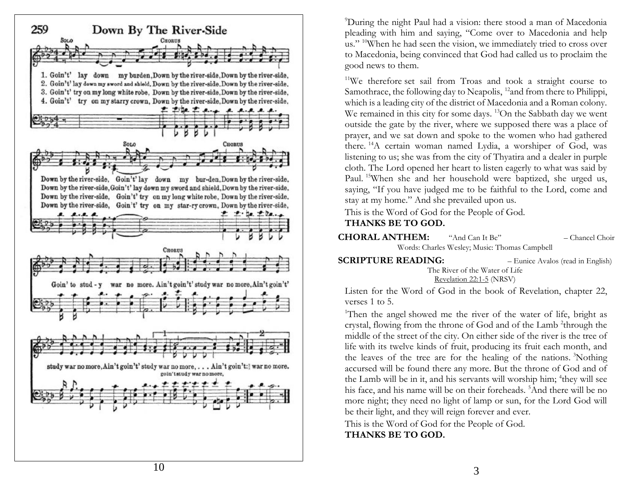

<sup>9</sup>During the night Paul had a vision: there stood a man of Macedonia pleading with him and saying, "Come over to Macedonia and help us." <sup>10</sup>When he had seen the vision, we immediately tried to cross over to Macedonia, being convinced that God had called us to proclaim the good news to them.

<sup>11</sup>We therefore set sail from Troas and took a straight course to Samothrace, the following day to Neapolis, <sup>12</sup>and from there to Philippi, which is a leading city of the district of Macedonia and a Roman colony. We remained in this city for some days. <sup>13</sup>On the Sabbath day we went outside the gate by the river, where we supposed there was a place of prayer, and we sat down and spoke to the women who had gathered there. <sup>14</sup>A certain woman named Lydia, a worshiper of God, was listening to us; she was from the city of Thyatira and a dealer in purple cloth. The Lord opened her heart to listen eagerly to what was said by Paul. <sup>15</sup>When she and her household were baptized, she urged us, saying, "If you have judged me to be faithful to the Lord, come and stay at my home." And she prevailed upon us.

This is the Word of God for the People of God.

#### **THANKS BE TO GOD.**

- **CHORAL ANTHEM:** "And Can It Be " – Chancel Choir Words: Charles Wesley; Music: Thomas Campbell
- **SCRIPTURE READING:** – Eunice Avalos (read in English) The River of the Water of Life [Revelation 22:1](https://www.biblegateway.com/passage/?search=Revelation+22%3A1-5&version=NRSVUE)-5 (NRSV)

Listen for the Word of God in the book of Revelation, chapter 2 2, verses 1 to 5 .

<sup>1</sup>Then the angel showed me the river of the water of life, bright as crystal, flowing from the throne of God and of the Lamb<sup>2</sup>through the middle of the street of the city. On either side of the river is the tree of life with its twelve kinds of fruit, producing its fruit each month, and the leaves of the tree are for the healing of the nations. <sup>3</sup>Nothing accursed will be found there any more. But the throne of God and of the Lamb will be in it, and his servants will worship him; 4 they will see his face, and his name will be on their foreheads. <sup>5</sup>And there will be no more night; they need no light of lamp or sun, for the Lord God will be their light, and they will reign forever and ever.

This is the Word of God for the People of God. **THANKS BE TO GOD.**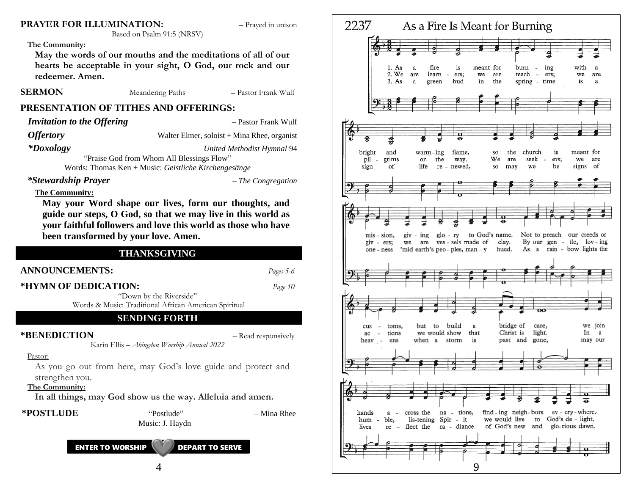#### **PRAYER FOR ILLUMINATION:**  $-$  Prayed in unison

#### **The Community:**

**May the words of our mouths and the meditations of all of our hearts be acceptable in your sight, O God, our rock and our redeemer. Amen.**

Based on Psalm 91:5 (NRSV)

**SERMON** Meandering Paths – Pastor Frank Wulf

#### **PRESENTATION OF TITHES AND OFFERINGS:**

*Invitation to the Offering*  $-$  Pastor Frank Wulf

*Offertory* Walter Elmer, soloist + Mina Rhee, organist

*\*Doxology United Methodist Hymnal* 94

"Praise God from Whom All Blessings Flow"

Words: Thomas Ken + Music: *Geistliche Kirchengesänge*

#### *\*Stewardship Prayer – The Congregation*

#### **The Community:**

**May your Word shape our lives, form our thoughts, and guide our steps, O God, so that we may live in this world as your faithful followers and love this world as those who have been transformed by your love. Amen.**

#### **THANKSGIVING**

#### **ANNOUNCEMENTS:** *Pages 5-6*

#### **\*HYMN OF DEDICATION:** *Page 10*

"Down by the Riverside"

Words & Music: Traditional African American Spiritual

#### **SENDING FORTH**

Karin Ellis – *Abingdon Worship Annual 2022*

#### **\*BENEDICTION** – Read responsively

#### Pastor:

As you go out from here, may God's love guide and protect and strengthen you.

**The Community:**

**In all things, may God show us the way. Alleluia and amen.**

#### **\*POSTLUDE** "Postlude" – Mina Rhee





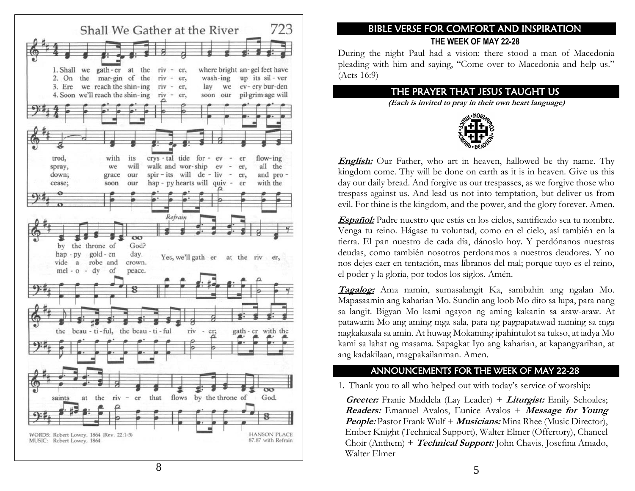

# **THE WEEK OF MAY 22 -28**

During the night Paul had a vision: there stood a man of Macedonia pleading with him and saying, "Come over to Macedonia and help us." (Acts 16:9)

### THE PRAYER THAT JESUS TAUGHT US

**(Each is invited to pray in their own heart language)**



**English:** Our Father, who art in heaven, hallowed be thy name. Thy kingdom come. Thy will be done on earth as it is in heaven. Give us this day our daily bread. And forgive us our trespasses, as we forgive those who trespass against us. And lead us not into temptation, but deliver us from evil. For thine is the kingdom, and the power, and the glory forever. Amen.

**Español:** Padre nuestro que estás en los cielos, santificado sea tu nombre. Venga tu reino. Hágase tu voluntad, como en el cielo, así también en la tierra. El pan nuestro de cada día, dánoslo hoy. Y perdónanos nuestras deudas, como también nosotros perdonamos a nuestros deudores. Y no nos dejes caer en tentación, mas líbranos del mal; porque tuyo es el reino, el poder y la gloria, por todos los siglos. Amén.

**EXERCT FOR COMFORT AND INSPIRATION**<br>
THE WERK OF MAY 22-28<br>
During the night Paul had a vision: there stood a man of Ma<br>
pleading with him and saying, "Come over to Macedonia and h<br>
(Acts 16:9)<br>
THE PRAYER THAT JESUS TAU **Tagalog:** Ama namin, sumasalangit Ka, sambahin ang ngalan Mo. Mapasaamin ang kaharian Mo. Sundin ang loob Mo dito sa lupa, para nang sa langit. Bigyan Mo kami ngayon ng aming kakanin sa araw -araw. At patawarin Mo ang aming mga sala, para ng pagpapatawad naming sa mga nagkakasala sa amin. At huwag Mokaming ipahintulot sa tukso, at iadya Mo kami sa lahat ng masama. Sapagkat Iyo ang kaharian, at kapangyarihan, at ang kadakilaan, magpakailanman. Amen.

### ANNOUNCEMENTS FOR THE WEEK OF MAY 22 - 2 8

1. Thank you to all who helped out with today's service of worship:

Greeter: Franie Maddela (Lay Leader) + Liturgist: Emily Schoales; **Readers:** Emanuel Avalos, Eunice Avalos + **Message for Young People:** Pastor Frank Wulf + **Musicians:** Mina Rhee (Music Director), Ember Knight (Technical Support), Walter Elmer (Offertory), Chancel Choir (Anthem) + Technical Support: John Chavis, Josefina Amado, Walter Elmer